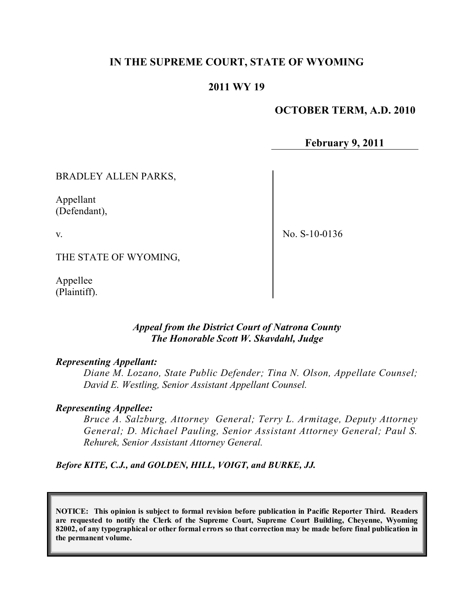# **IN THE SUPREME COURT, STATE OF WYOMING**

# **2011 WY 19**

## **OCTOBER TERM, A.D. 2010**

**February 9, 2011**

BRADLEY ALLEN PARKS,

Appellant (Defendant),

v.

No. S-10-0136

THE STATE OF WYOMING,

Appellee (Plaintiff).

## *Appeal from the District Court of Natrona County The Honorable Scott W. Skavdahl, Judge*

#### *Representing Appellant:*

*Diane M. Lozano, State Public Defender; Tina N. Olson, Appellate Counsel; David E. Westling, Senior Assistant Appellant Counsel.*

#### *Representing Appellee:*

*Bruce A. Salzburg, Attorney General; Terry L. Armitage, Deputy Attorney General; D. Michael Pauling, Senior Assistant Attorney General; Paul S. Rehurek, Senior Assistant Attorney General.*

*Before KITE, C.J., and GOLDEN, HILL, VOIGT, and BURKE, JJ.*

**NOTICE: This opinion is subject to formal revision before publication in Pacific Reporter Third. Readers are requested to notify the Clerk of the Supreme Court, Supreme Court Building, Cheyenne, Wyoming** 82002, of any typographical or other formal errors so that correction may be made before final publication in **the permanent volume.**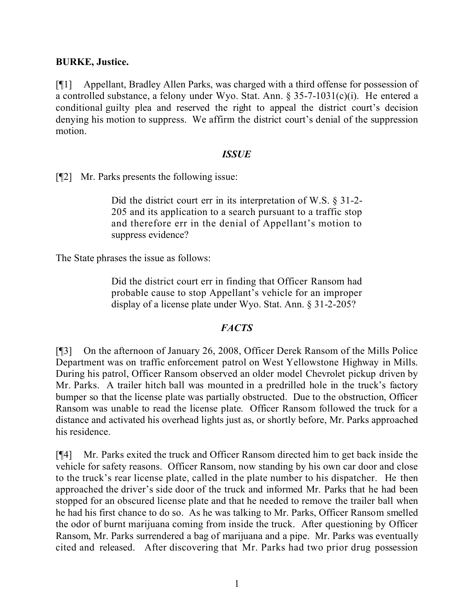## **BURKE, Justice.**

[¶1] Appellant, Bradley Allen Parks, was charged with a third offense for possession of a controlled substance, a felony under Wyo. Stat. Ann. § 35-7-1031(c)(i). He entered a conditional guilty plea and reserved the right to appeal the district court's decision denying his motion to suppress. We affirm the district court's denial of the suppression motion.

## *ISSUE*

[¶2] Mr. Parks presents the following issue:

Did the district court err in its interpretation of W.S. § 31-2-205 and its application to a search pursuant to a traffic stop and therefore err in the denial of Appellant's motion to suppress evidence?

The State phrases the issue as follows:

Did the district court err in finding that Officer Ransom had probable cause to stop Appellant's vehicle for an improper display of a license plate under Wyo. Stat. Ann. § 31-2-205?

# *FACTS*

[¶3] On the afternoon of January 26, 2008, Officer Derek Ransom of the Mills Police Department was on traffic enforcement patrol on West Yellowstone Highway in Mills. During his patrol, Officer Ransom observed an older model Chevrolet pickup driven by Mr. Parks. A trailer hitch ball was mounted in a predrilled hole in the truck's factory bumper so that the license plate was partially obstructed. Due to the obstruction, Officer Ransom was unable to read the license plate. Officer Ransom followed the truck for a distance and activated his overhead lights just as, or shortly before, Mr. Parks approached his residence.

[¶4] Mr. Parks exited the truck and Officer Ransom directed him to get back inside the vehicle for safety reasons. Officer Ransom, now standing by his own car door and close to the truck's rear license plate, called in the plate number to his dispatcher. He then approached the driver's side door of the truck and informed Mr. Parks that he had been stopped for an obscured license plate and that he needed to remove the trailer ball when he had his first chance to do so. As he was talking to Mr. Parks, Officer Ransom smelled the odor of burnt marijuana coming from inside the truck. After questioning by Officer Ransom, Mr. Parks surrendered a bag of marijuana and a pipe. Mr. Parks was eventually cited and released. After discovering that Mr. Parks had two prior drug possession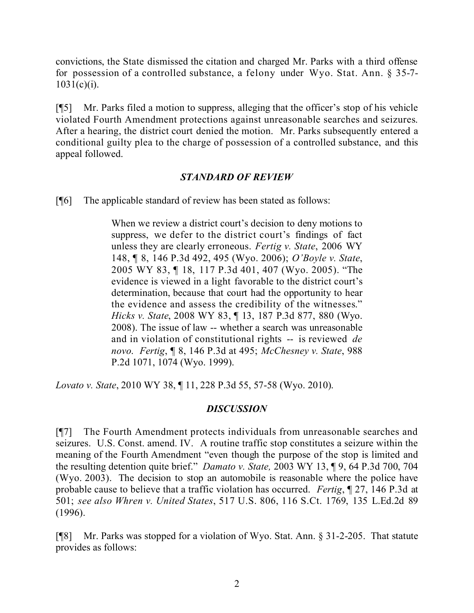convictions, the State dismissed the citation and charged Mr. Parks with a third offense for possession of a controlled substance, a felony under Wyo. Stat. Ann. § 35-7-  $1031(c)(i)$ .

[¶5] Mr. Parks filed a motion to suppress, alleging that the officer's stop of his vehicle violated Fourth Amendment protections against unreasonable searches and seizures. After a hearing, the district court denied the motion. Mr. Parks subsequently entered a conditional guilty plea to the charge of possession of a controlled substance, and this appeal followed.

# *STANDARD OF REVIEW*

[¶6] The applicable standard of review has been stated as follows:

When we review a district court's decision to deny motions to suppress, we defer to the district court's findings of fact unless they are clearly erroneous. *Fertig v. State*, 2006 WY 148, ¶ 8, 146 P.3d 492, 495 (Wyo. 2006); *O'Boyle v. State*, 2005 WY 83, ¶ 18, 117 P.3d 401, 407 (Wyo. 2005). "The evidence is viewed in a light favorable to the district court's determination, because that court had the opportunity to hear the evidence and assess the credibility of the witnesses." *Hicks v. State*, 2008 WY 83, ¶ 13, 187 P.3d 877, 880 (Wyo. 2008). The issue of law -- whether a search was unreasonable and in violation of constitutional rights -- is reviewed *de novo*. *Fertig*, ¶ 8, 146 P.3d at 495; *McChesney v. State*, 988 P.2d 1071, 1074 (Wyo. 1999).

*Lovato v. State*, 2010 WY 38, ¶ 11, 228 P.3d 55, 57-58 (Wyo. 2010).

# *DISCUSSION*

[¶7] The Fourth Amendment protects individuals from unreasonable searches and seizures. U.S. Const. amend. IV. A routine traffic stop constitutes a seizure within the meaning of the Fourth Amendment "even though the purpose of the stop is limited and the resulting detention quite brief." *Damato v. State,* 2003 WY 13, ¶ 9, 64 P.3d 700, 704 (Wyo. 2003). The decision to stop an automobile is reasonable where the police have probable cause to believe that a traffic violation has occurred. *Fertig*, ¶ 27, 146 P.3d at 501; *see also Whren v. United States*, 517 U.S. 806, 116 S.Ct. 1769, 135 L.Ed.2d 89 (1996).

[¶8] Mr. Parks was stopped for a violation of Wyo. Stat. Ann. § 31-2-205. That statute provides as follows: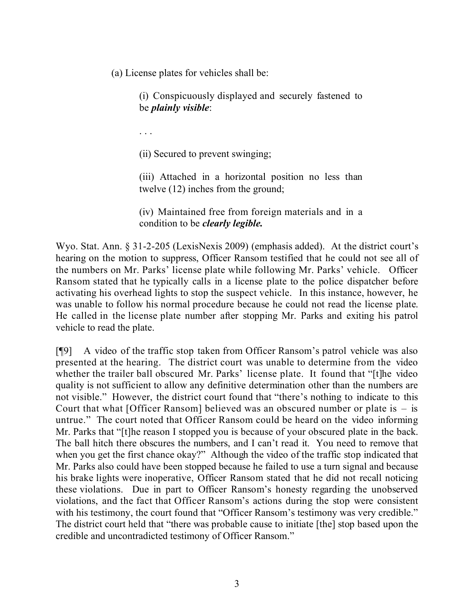(a) License plates for vehicles shall be:

(i) Conspicuously displayed and securely fastened to be *plainly visible*:

. . .

(ii) Secured to prevent swinging;

(iii) Attached in a horizontal position no less than twelve (12) inches from the ground;

(iv) Maintained free from foreign materials and in a condition to be *clearly legible.*

Wyo. Stat. Ann. § 31-2-205 (LexisNexis 2009) (emphasis added). At the district court's hearing on the motion to suppress, Officer Ransom testified that he could not see all of the numbers on Mr. Parks' license plate while following Mr. Parks' vehicle. Officer Ransom stated that he typically calls in a license plate to the police dispatcher before activating his overhead lights to stop the suspect vehicle. In this instance, however, he was unable to follow his normal procedure because he could not read the license plate. He called in the license plate number after stopping Mr. Parks and exiting his patrol vehicle to read the plate.

[¶9] A video of the traffic stop taken from Officer Ransom's patrol vehicle was also presented at the hearing. The district court was unable to determine from the video whether the trailer ball obscured Mr. Parks' license plate. It found that "[t]he video quality is not sufficient to allow any definitive determination other than the numbers are not visible." However, the district court found that "there's nothing to indicate to this Court that what [Officer Ransom] believed was an obscured number or plate is  $-$  is untrue." The court noted that Officer Ransom could be heard on the video informing Mr. Parks that "[t]he reason I stopped you is because of your obscured plate in the back. The ball hitch there obscures the numbers, and I can't read it. You need to remove that when you get the first chance okay?" Although the video of the traffic stop indicated that Mr. Parks also could have been stopped because he failed to use a turn signal and because his brake lights were inoperative, Officer Ransom stated that he did not recall noticing these violations. Due in part to Officer Ransom's honesty regarding the unobserved violations, and the fact that Officer Ransom's actions during the stop were consistent with his testimony, the court found that "Officer Ransom's testimony was very credible." The district court held that "there was probable cause to initiate [the] stop based upon the credible and uncontradicted testimony of Officer Ransom."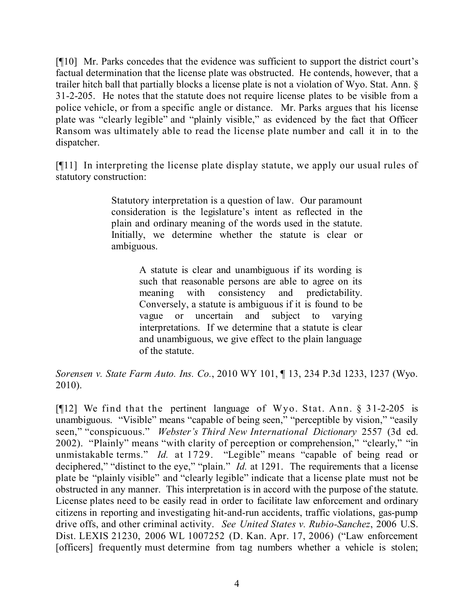[¶10] Mr. Parks concedes that the evidence was sufficient to support the district court's factual determination that the license plate was obstructed. He contends, however, that a trailer hitch ball that partially blocks a license plate is not a violation of Wyo. Stat. Ann. § 31-2-205. He notes that the statute does not require license plates to be visible from a police vehicle, or from a specific angle or distance. Mr. Parks argues that his license plate was "clearly legible" and "plainly visible," as evidenced by the fact that Officer Ransom was ultimately able to read the license plate number and call it in to the dispatcher.

[¶11] In interpreting the license plate display statute, we apply our usual rules of statutory construction:

> Statutory interpretation is a question of law. Our paramount consideration is the legislature's intent as reflected in the plain and ordinary meaning of the words used in the statute. Initially, we determine whether the statute is clear or ambiguous.

> > A statute is clear and unambiguous if its wording is such that reasonable persons are able to agree on its meaning with consistency and predictability. Conversely, a statute is ambiguous if it is found to be vague or uncertain and subject to varying interpretations. If we determine that a statute is clear and unambiguous, we give effect to the plain language of the statute.

*Sorensen v. State Farm Auto. Ins. Co.*, 2010 WY 101, ¶ 13, 234 P.3d 1233, 1237 (Wyo. 2010).

[¶12] We find that the pertinent language of Wyo. Stat. Ann. § 31-2-205 is unambiguous. "Visible" means "capable of being seen," "perceptible by vision," "easily seen," "conspicuous." *Webster's Third New International Dictionary* 2557 (3d ed. 2002). "Plainly" means "with clarity of perception or comprehension," "clearly," "in unmistakable terms." *Id.* at 1729. "Legible" means "capable of being read or deciphered," "distinct to the eye," "plain." *Id.* at 1291. The requirements that a license plate be "plainly visible" and "clearly legible" indicate that a license plate must not be obstructed in any manner. This interpretation is in accord with the purpose of the statute. License plates need to be easily read in order to facilitate law enforcement and ordinary citizens in reporting and investigating hit-and-run accidents, traffic violations, gas-pump drive offs, and other criminal activity. *See United States v. Rubio-Sanchez*, 2006 U.S. Dist. LEXIS 21230, 2006 WL 1007252 (D. Kan. Apr. 17, 2006) ("Law enforcement [officers] frequently must determine from tag numbers whether a vehicle is stolen;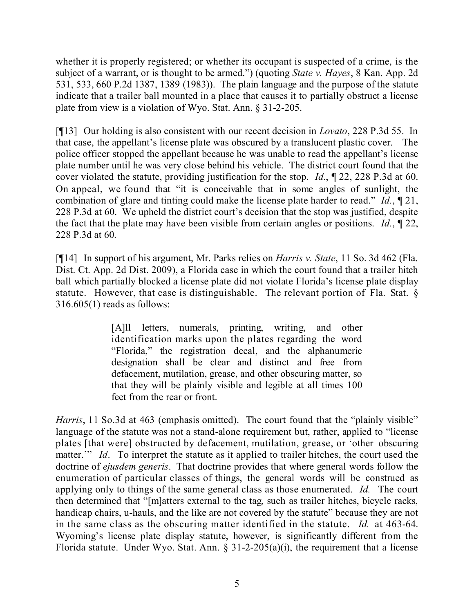whether it is properly registered; or whether its occupant is suspected of a crime, is the subject of a warrant, or is thought to be armed.") (quoting *State v. Hayes*, 8 Kan. App. 2d 531, 533, 660 P.2d 1387, 1389 (1983)). The plain language and the purpose of the statute indicate that a trailer ball mounted in a place that causes it to partially obstruct a license plate from view is a violation of Wyo. Stat. Ann. § 31-2-205.

[¶13] Our holding is also consistent with our recent decision in *Lovato*, 228 P.3d 55. In that case, the appellant's license plate was obscured by a translucent plastic cover. The police officer stopped the appellant because he was unable to read the appellant's license plate number until he was very close behind his vehicle. The district court found that the cover violated the statute, providing justification for the stop. *Id.*, ¶ 22, 228 P.3d at 60. On appeal, we found that "it is conceivable that in some angles of sunlight, the combination of glare and tinting could make the license plate harder to read." *Id.*, ¶ 21, 228 P.3d at 60. We upheld the district court's decision that the stop was justified, despite the fact that the plate may have been visible from certain angles or positions. *Id.*, ¶ 22, 228 P.3d at 60.

[¶14] In support of his argument, Mr. Parks relies on *Harris v. State*, 11 So. 3d 462 (Fla. Dist. Ct. App. 2d Dist. 2009), a Florida case in which the court found that a trailer hitch ball which partially blocked a license plate did not violate Florida's license plate display statute. However, that case is distinguishable. The relevant portion of Fla. Stat. § 316.605(1) reads as follows:

> [A]ll letters, numerals, printing, writing, and other identification marks upon the plates regarding the word "Florida," the registration decal, and the alphanumeric designation shall be clear and distinct and free from defacement, mutilation, grease, and other obscuring matter, so that they will be plainly visible and legible at all times 100 feet from the rear or front.

*Harris*, 11 So.3d at 463 (emphasis omitted). The court found that the "plainly visible" language of the statute was not a stand-alone requirement but, rather, applied to "license plates [that were] obstructed by defacement, mutilation, grease, or 'other obscuring matter." *Id.* To interpret the statute as it applied to trailer hitches, the court used the doctrine of *ejusdem generis*. That doctrine provides that where general words follow the enumeration of particular classes of things, the general words will be construed as applying only to things of the same general class as those enumerated. *Id.* The court then determined that "[m]atters external to the tag, such as trailer hitches, bicycle racks, handicap chairs, u-hauls, and the like are not covered by the statute" because they are not in the same class as the obscuring matter identified in the statute. *Id.* at 463-64. Wyoming's license plate display statute, however, is significantly different from the Florida statute. Under Wyo. Stat. Ann. § 31-2-205(a)(i), the requirement that a license